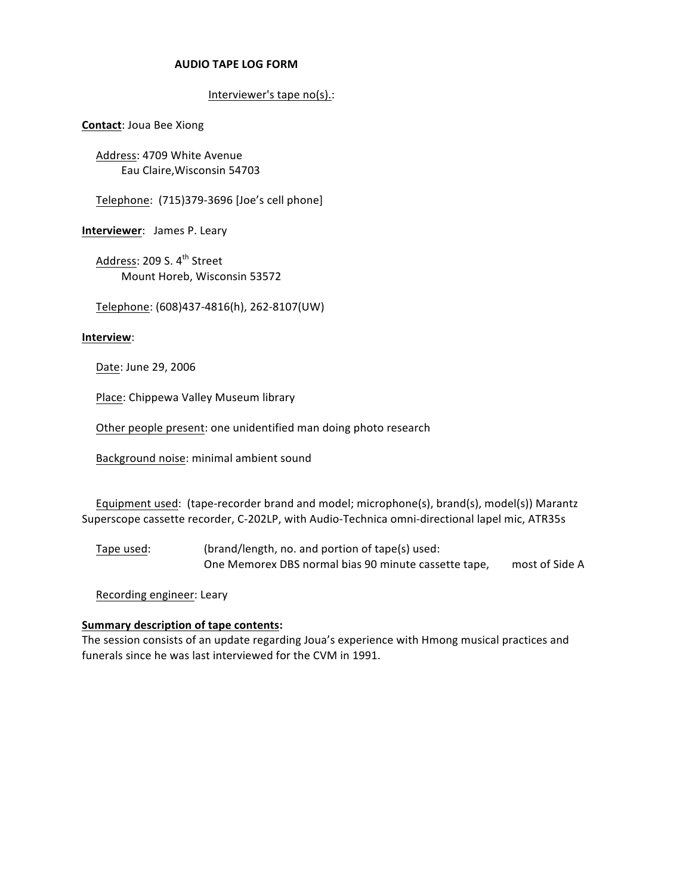## !!!!!!!!!!!!!!!!!!!!!!!!!!!!!!!!!**AUDIO&TAPE&LOG&FORM**

## Interviewer's tape no(s).:

**Contact: Joua Bee Xiong** 

Address: 4709 White Avenue Eau Claire, Wisconsin 54703

Telephone: (715)379-3696 [Joe's cell phone]

**Interviewer: James P. Leary** 

Address: 209 S. 4<sup>th</sup> Street Mount Horeb, Wisconsin 53572

Telephone: (608)437-4816(h), 262-8107(UW)

## **Interview**:

Date: June 29, 2006

Place: Chippewa Valley Museum library

Other people present: one unidentified man doing photo research

Background noise: minimal ambient sound

Equipment used: (tape-recorder brand and model; microphone(s), brand(s), model(s)) Marantz Superscope cassette recorder, C-202LP, with Audio-Technica omni-directional lapel mic, ATR35s

Tape used: (brand/length, no. and portion of tape(s) used: One Memorex DBS normal bias 90 minute cassette tape, most of Side A

Recording engineer: Leary

## **Summary description of tape contents:**

The session consists of an update regarding Joua's experience with Hmong musical practices and funerals since he was last interviewed for the CVM in 1991.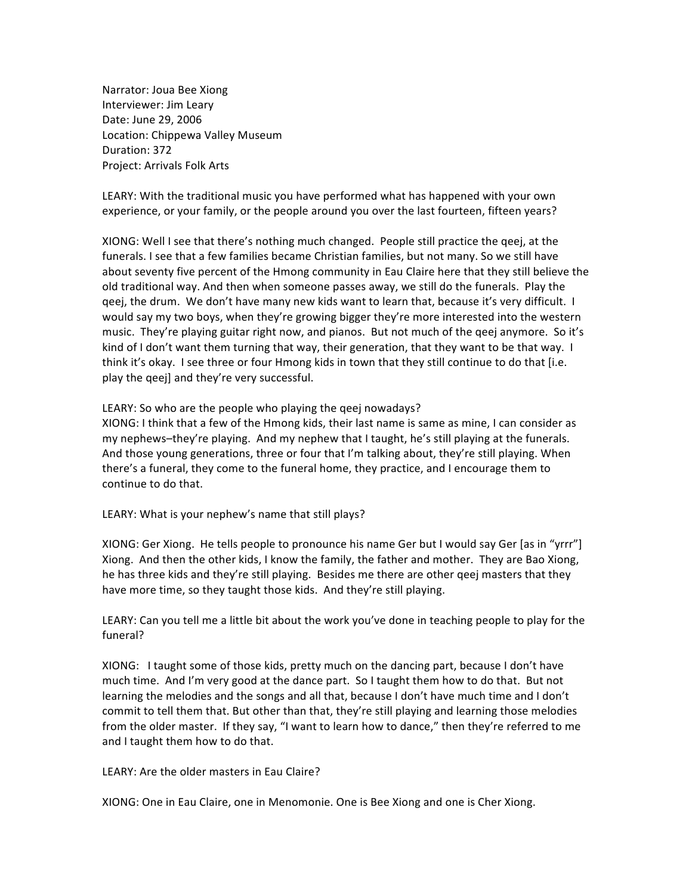Narrator: Joua Bee Xiong Interviewer: Jim Leary Date: June 29, 2006 Location: Chippewa Valley Museum Duration: 372 Project: Arrivals Folk!Arts

LEARY: With the traditional music you have performed what has happened with your own experience, or your family, or the people around you over the last fourteen, fifteen years?

XIONG: Well I see that there's nothing much changed. People still practice the geej, at the funerals. I see that a few families became Christian families, but not many. So we still have about seventy five percent of the Hmong community in Eau Claire here that they still believe the old traditional way. And then when someone passes away, we still do the funerals. Play the qeej, the drum. We don't have many new kids want to learn that, because it's very difficult. I would say my two boys, when they're growing bigger they're more interested into the western music. They're playing guitar right now, and pianos. But not much of the qeej anymore. So it's kind of I don't want them turning that way, their generation, that they want to be that way. I think it's okay. I see three or four Hmong kids in town that they still continue to do that [i.e. play the qeej] and they're very successful.

LEARY: So who are the people who playing the qeej nowadays?

XIONG: I think that a few of the Hmong kids, their last name is same as mine, I can consider as my nephews–they're playing. And my nephew that I taught, he's still playing at the funerals. And those young generations, three or four that I'm talking about, they're still playing. When there's a funeral, they come to the funeral home, they practice, and I encourage them to continue to do that.

LEARY: What is your nephew's name that still plays?

XIONG: Ger Xiong. He tells people to pronounce his name Ger but I would say Ger [as in "yrrr"] Xiong. And then the other kids, I know the family, the father and mother. They are Bao Xiong, he has three kids and they're still playing. Besides me there are other geej masters that they have more time, so they taught those kids. And they're still playing.

LEARY: Can you tell me a little bit about the work you've done in teaching people to play for the funeral?

XIONG: I taught some of those kids, pretty much on the dancing part, because I don't have much time. And I'm very good at the dance part. So I taught them how to do that. But not learning the melodies and the songs and all that, because I don't have much time and I don't commit to tell them that. But other than that, they're still playing and learning those melodies from the older master. If they say, "I want to learn how to dance," then they're referred to me and I taught them how to do that.

LEARY: Are the older masters in Eau Claire?

XIONG: One in Eau Claire, one in Menomonie. One is Bee Xiong and one is Cher Xiong.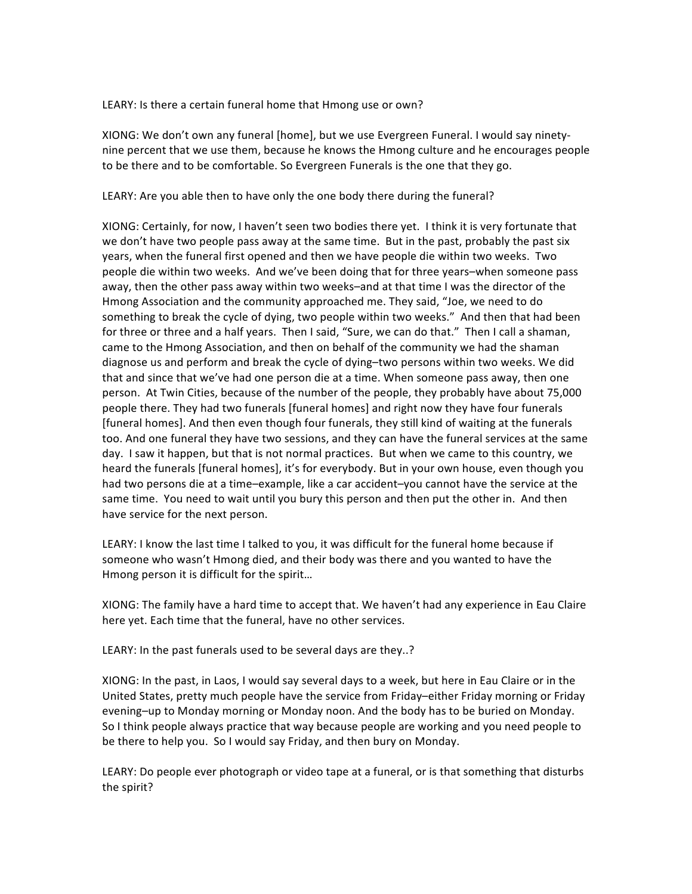LEARY: Is there a certain funeral home that Hmong use or own?

XIONG: We don't own any funeral [home], but we use Evergreen Funeral. I would say ninetynine percent that we use them, because he knows the Hmong culture and he encourages people to be there and to be comfortable. So Evergreen Funerals is the one that they go.

LEARY: Are you able then to have only the one body there during the funeral?

XIONG: Certainly, for now, I haven't seen two bodies there yet. I think it is very fortunate that we don't have two people pass away at the same time. But in the past, probably the past six years, when the funeral first opened and then we have people die within two weeks. Two people die within two weeks. And we've been doing that for three years–when someone pass away, then the other pass away within two weeks–and at that time I was the director of the Hmong Association and the community approached me. They said, "Joe, we need to do something to break the cycle of dying, two people within two weeks." And then that had been for three or three and a half years. Then I said, "Sure, we can do that." Then I call a shaman, came to the Hmong Association, and then on behalf of the community we had the shaman diagnose us and perform and break the cycle of dying–two persons within two weeks. We did that and since that we've had one person die at a time. When someone pass away, then one person. At Twin Cities, because of the number of the people, they probably have about 75,000 people there. They had two funerals [funeral homes] and right now they have four funerals [funeral homes]. And then even though four funerals, they still kind of waiting at the funerals too. And one funeral they have two sessions, and they can have the funeral services at the same day. I saw it happen, but that is not normal practices. But when we came to this country, we heard the funerals [funeral homes], it's for everybody. But in your own house, even though you had two persons die at a time–example, like a car accident–you cannot have the service at the same time. You need to wait until you bury this person and then put the other in. And then have service for the next person.

LEARY: I know the last time I talked to you, it was difficult for the funeral home because if someone who wasn't Hmong died, and their body was there and you wanted to have the Hmong person it is difficult for the spirit...

XIONG: The family have a hard time to accept that. We haven't had any experience in Eau Claire here yet. Each time that the funeral, have no other services.

LEARY: In the past funerals used to be several days are they..?

XIONG: In the past, in Laos, I would say several days to a week, but here in Eau Claire or in the United States, pretty much people have the service from Friday–either Friday morning or Friday evening–up to Monday morning or Monday noon. And the body has to be buried on Monday. So I think people always practice that way because people are working and you need people to be there to help you. So I would say Friday, and then bury on Monday.

LEARY: Do people ever photograph or video tape at a funeral, or is that something that disturbs the spirit?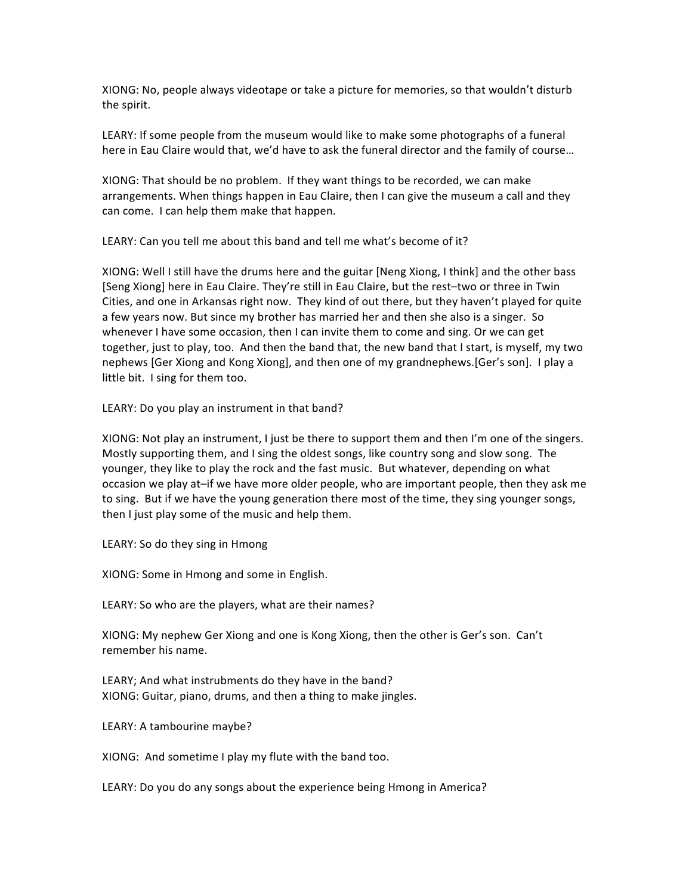XIONG: No, people always videotape or take a picture for memories, so that wouldn't disturb the spirit.

LEARY: If some people from the museum would like to make some photographs of a funeral here in Eau Claire would that, we'd have to ask the funeral director and the family of course...

XIONG: That should be no problem. If they want things to be recorded, we can make arrangements. When things happen in Eau Claire, then I can give the museum a call and they can come. I can help them make that happen.

LEARY: Can you tell me about this band and tell me what's become of it?

XIONG: Well I still have the drums here and the guitar [Neng Xiong, I think] and the other bass [Seng Xiong] here in Eau Claire. They're still in Eau Claire, but the rest-two or three in Twin Cities, and one in Arkansas right now. They kind of out there, but they haven't played for quite a few years now. But since my brother has married her and then she also is a singer. So whenever I have some occasion, then I can invite them to come and sing. Or we can get together, just to play, too. And then the band that, the new band that I start, is myself, my two nephews [Ger Xiong and Kong Xiong], and then one of my grandnephews.[Ger's son]. I play a little bit. I sing for them too.

LEARY: Do you play an instrument in that band?

XIONG: Not play an instrument, I just be there to support them and then I'm one of the singers. Mostly supporting them, and I sing the oldest songs, like country song and slow song. The younger, they like to play the rock and the fast music. But whatever, depending on what occasion we play at–if we have more older people, who are important people, then they ask me to sing. But if we have the young generation there most of the time, they sing younger songs, then I just play some of the music and help them.

LEARY: So do they sing in Hmong

XIONG: Some in Hmong and some in English.

LEARY: So who are the players, what are their names?

XIONG: My nephew Ger Xiong and one is Kong Xiong, then the other is Ger's son. Can't remember his name.

LEARY; And what instrubments do they have in the band? XIONG: Guitar, piano, drums, and then a thing to make jingles.

LEARY: A tambourine maybe?

XIONG: And sometime I play my flute with the band too.

LEARY: Do you do any songs about the experience being Hmong in America?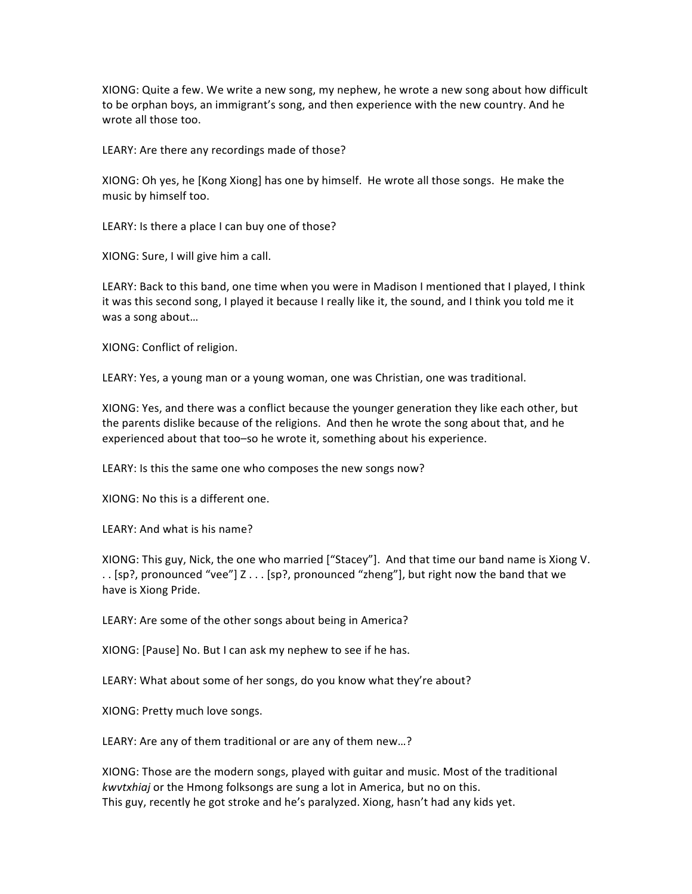XIONG: Quite a few. We write a new song, my nephew, he wrote a new song about how difficult to be orphan boys, an immigrant's song, and then experience with the new country. And he wrote all those too.

LEARY: Are there any recordings made of those?

XIONG: Oh yes, he [Kong Xiong] has one by himself. He wrote all those songs. He make the music by himself too.

LEARY: Is there a place I can buy one of those?

XIONG: Sure, I will give him a call.

LEARY: Back to this band, one time when you were in Madison I mentioned that I played, I think it was this second song, I played it because I really like it, the sound, and I think you told me it was a song about...

XIONG: Conflict of religion.

LEARY: Yes, a young man or a young woman, one was Christian, one was traditional.

XIONG: Yes, and there was a conflict because the younger generation they like each other, but the parents dislike because of the religions. And then he wrote the song about that, and he experienced about that too–so he wrote it, something about his experience.

LEARY: Is this the same one who composes the new songs now?

XIONG: No this is a different one.

LEARY: And what is his name?

XIONG: This guy, Nick, the one who married ["Stacey"]. And that time our band name is Xiong V. .. [sp?, pronounced "vee"] Z . . . [sp?, pronounced "zheng"], but right now the band that we have is Xiong Pride.

LEARY: Are some of the other songs about being in America?

XIONG: [Pause] No. But I can ask my nephew to see if he has.

LEARY: What about some of her songs, do you know what they're about?

XIONG: Pretty much love songs.

LEARY: Are any of them traditional or are any of them new...?

XIONG: Those are the modern songs, played with guitar and music. Most of the traditional *kwvtxhiaj* or the Hmong folksongs are sung a lot in America, but no on this. This guy, recently he got stroke and he's paralyzed. Xiong, hasn't had any kids yet.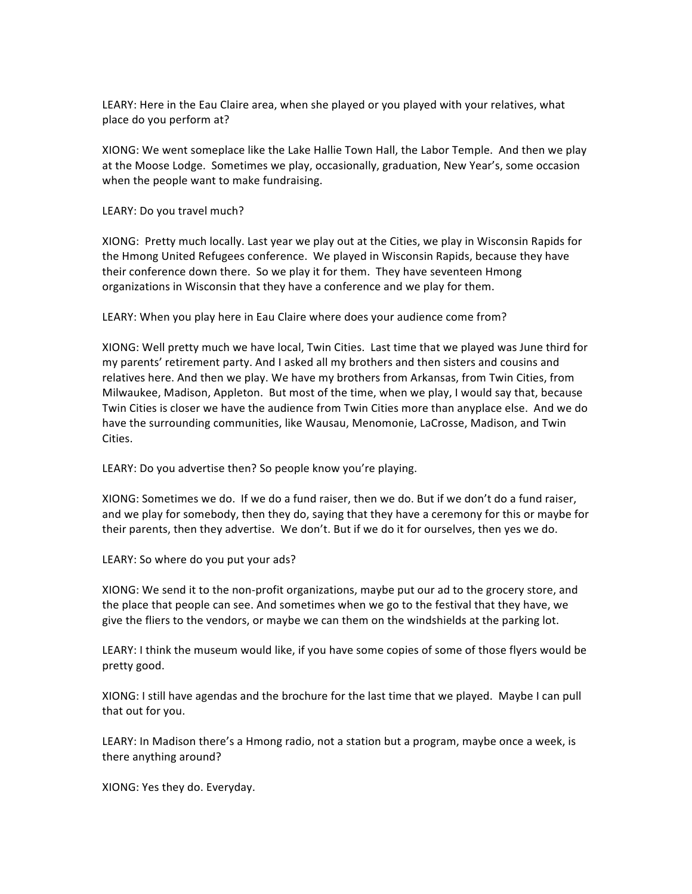LEARY: Here in the Eau Claire area, when she played or you played with your relatives, what place do you perform at?

XIONG: We went someplace like the Lake Hallie Town Hall, the Labor Temple. And then we play at the Moose Lodge. Sometimes we play, occasionally, graduation, New Year's, some occasion when the people want to make fundraising.

LEARY: Do you travel much?

XIONG: Pretty much locally. Last year we play out at the Cities, we play in Wisconsin Rapids for the Hmong United Refugees conference. We played in Wisconsin Rapids, because they have their conference down there. So we play it for them. They have seventeen Hmong organizations in Wisconsin that they have a conference and we play for them.

LEARY: When you play here in Eau Claire where does your audience come from?

XIONG: Well pretty much we have local, Twin Cities. Last time that we played was June third for my parents' retirement party. And I asked all my brothers and then sisters and cousins and relatives here. And then we play. We have my brothers from Arkansas, from Twin Cities, from Milwaukee, Madison, Appleton. But most of the time, when we play, I would say that, because Twin Cities is closer we have the audience from Twin Cities more than anyplace else. And we do have the surrounding communities, like Wausau, Menomonie, LaCrosse, Madison, and Twin Cities.

LEARY: Do you advertise then? So people know you're playing.

XIONG: Sometimes we do. If we do a fund raiser, then we do. But if we don't do a fund raiser, and we play for somebody, then they do, saying that they have a ceremony for this or maybe for their parents, then they advertise. We don't. But if we do it for ourselves, then yes we do.

LEARY: So where do you put your ads?

XIONG: We send it to the non-profit organizations, maybe put our ad to the grocery store, and the place that people can see. And sometimes when we go to the festival that they have, we give the fliers to the vendors, or maybe we can them on the windshields at the parking lot.

LEARY: I think the museum would like, if you have some copies of some of those flyers would be pretty good.

XIONG: I still have agendas and the brochure for the last time that we played. Maybe I can pull that out for you.

LEARY: In Madison there's a Hmong radio, not a station but a program, maybe once a week, is there anything around?

XIONG: Yes they do. Everyday.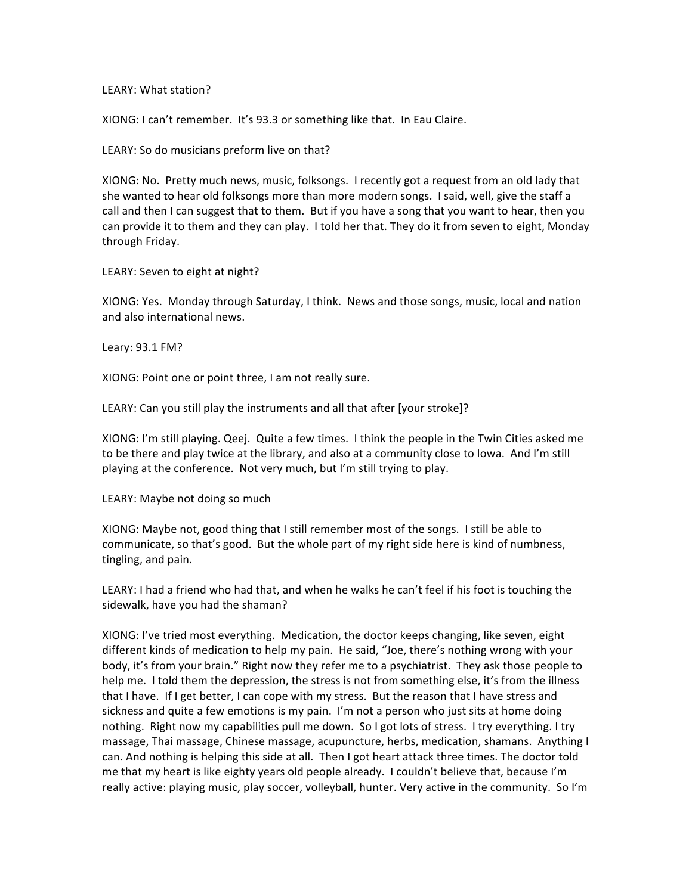LEARY: What station?

XIONG: I can't remember. It's 93.3 or something like that. In Eau Claire.

LEARY: So do musicians preform live on that?

XIONG: No. Pretty much news, music, folksongs. I recently got a request from an old lady that she wanted to hear old folksongs more than more modern songs. I said, well, give the staff a call and then I can suggest that to them. But if you have a song that you want to hear, then you can provide it to them and they can play. I told her that. They do it from seven to eight, Monday through Friday.

LEARY: Seven to eight at night?

XIONG: Yes. Monday through Saturday, I think. News and those songs, music, local and nation and also international news.

Leary: 93.1 FM?

XIONG: Point one or point three, I am not really sure.

LEARY: Can you still play the instruments and all that after [your stroke]?

XIONG: I'm still playing. Qeej. Quite a few times. I think the people in the Twin Cities asked me to be there and play twice at the library, and also at a community close to Iowa. And I'm still playing at the conference. Not very much, but I'm still trying to play.

LEARY: Maybe not doing so much

XIONG: Maybe not, good thing that I still remember most of the songs. I still be able to communicate, so that's good. But the whole part of my right side here is kind of numbness, tingling, and pain.

LEARY: I had a friend who had that, and when he walks he can't feel if his foot is touching the sidewalk, have you had the shaman?

XIONG: I've tried most everything. Medication, the doctor keeps changing, like seven, eight different kinds of medication to help my pain. He said, "Joe, there's nothing wrong with your body, it's from your brain." Right now they refer me to a psychiatrist. They ask those people to help me. I told them the depression, the stress is not from something else, it's from the illness that I have. If I get better, I can cope with my stress. But the reason that I have stress and sickness and quite a few emotions is my pain. I'm not a person who just sits at home doing nothing. Right now my capabilities pull me down. So I got lots of stress. I try everything. I try massage, Thai massage, Chinese massage, acupuncture, herbs, medication, shamans. Anything I can. And nothing is helping this side at all. Then I got heart attack three times. The doctor told me that my heart is like eighty years old people already. I couldn't believe that, because I'm really active: playing music, play soccer, volleyball, hunter. Very active in the community. So I'm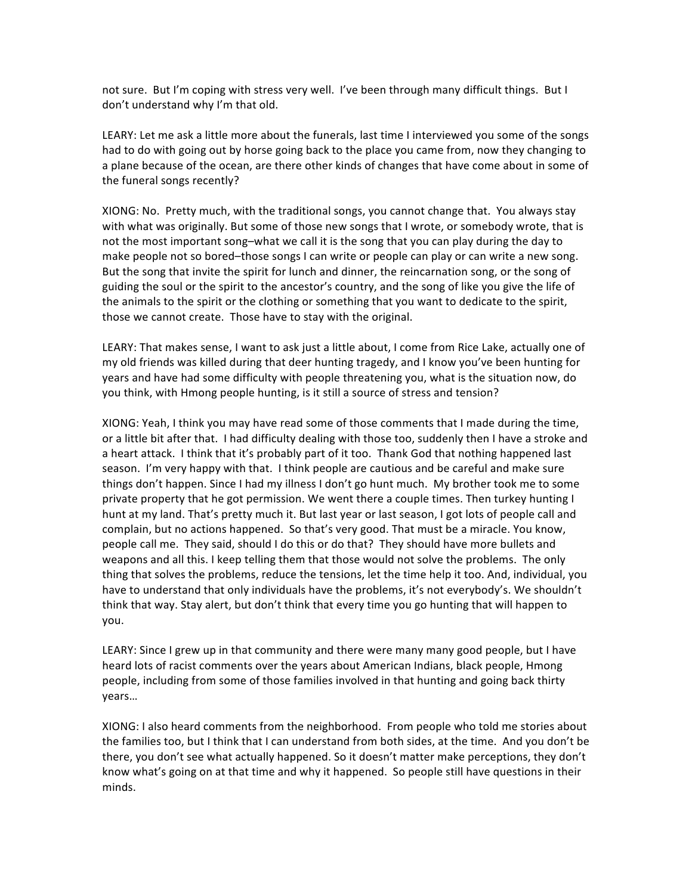not sure. But I'm coping with stress very well. I've been through many difficult things. But I don't understand why I'm that old.

LEARY: Let me ask a little more about the funerals, last time I interviewed you some of the songs had to do with going out by horse going back to the place you came from, now they changing to a plane because of the ocean, are there other kinds of changes that have come about in some of the funeral songs recently?

XIONG: No. Pretty much, with the traditional songs, you cannot change that. You always stay with what was originally. But some of those new songs that I wrote, or somebody wrote, that is not the most important song–what we call it is the song that you can play during the day to make people not so bored–those songs I can write or people can play or can write a new song. But the song that invite the spirit for lunch and dinner, the reincarnation song, or the song of guiding the soul or the spirit to the ancestor's country, and the song of like you give the life of the animals to the spirit or the clothing or something that you want to dedicate to the spirit, those we cannot create. Those have to stay with the original.

LEARY: That makes sense, I want to ask just a little about, I come from Rice Lake, actually one of my old friends was killed during that deer hunting tragedy, and I know you've been hunting for years and have had some difficulty with people threatening you, what is the situation now, do you think, with Hmong people hunting, is it still a source of stress and tension?

XIONG: Yeah, I think you may have read some of those comments that I made during the time, or a little bit after that. I had difficulty dealing with those too, suddenly then I have a stroke and a heart attack. I think that it's probably part of it too. Thank God that nothing happened last season. I'm very happy with that. I think people are cautious and be careful and make sure things don't happen. Since I had my illness I don't go hunt much. My brother took me to some private property that he got permission. We went there a couple times. Then turkey hunting I hunt at my land. That's pretty much it. But last year or last season, I got lots of people call and complain, but no actions happened. So that's very good. That must be a miracle. You know, people call me. They said, should I do this or do that? They should have more bullets and weapons and all this. I keep telling them that those would not solve the problems. The only thing that solves the problems, reduce the tensions, let the time help it too. And, individual, you have to understand that only individuals have the problems, it's not everybody's. We shouldn't think that way. Stay alert, but don't think that every time you go hunting that will happen to you.

LEARY: Since I grew up in that community and there were many many good people, but I have heard lots of racist comments over the years about American Indians, black people, Hmong people, including from some of those families involved in that hunting and going back thirty years…

XIONG: I also heard comments from the neighborhood. From people who told me stories about the families too, but I think that I can understand from both sides, at the time. And you don't be there, you don't see what actually happened. So it doesn't matter make perceptions, they don't know what's going on at that time and why it happened. So people still have questions in their minds.